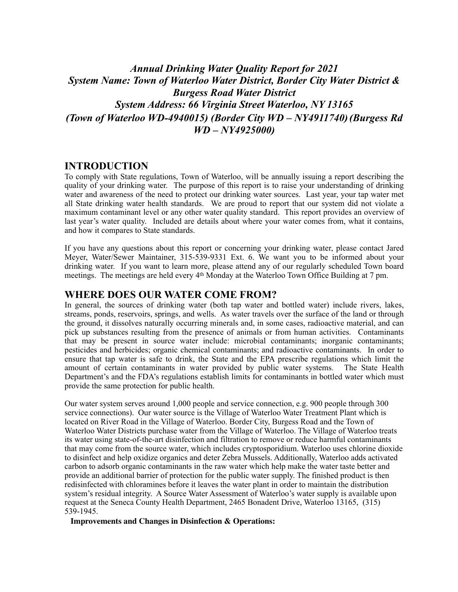# *Annual Drinking Water Quality Report for 2021 System Name: Town of Waterloo Water District, Border City Water District & Burgess Road Water District System Address: 66 Virginia Street Waterloo, NY 13165 (Town of Waterloo WD-4940015) (Border City WD – NY4911740)(Burgess Rd WD – NY4925000)*

### **INTRODUCTION**

To comply with State regulations, Town of Waterloo, will be annually issuing a report describing the quality of your drinking water. The purpose of this report is to raise your understanding of drinking water and awareness of the need to protect our drinking water sources. Last year, your tap water met all State drinking water health standards. We are proud to report that our system did not violate a maximum contaminant level or any other water quality standard. This report provides an overview of last year's water quality. Included are details about where your water comes from, what it contains, and how it compares to State standards.

If you have any questions about this report or concerning your drinking water, please contact Jared Meyer, Water/Sewer Maintainer, 315-539-9331 Ext. 6. We want you to be informed about your drinking water. If you want to learn more, please attend any of our regularly scheduled Town board meetings. The meetings are held every 4th Monday at the Waterloo Town Office Building at 7 pm.

#### **WHERE DOES OUR WATER COME FROM?**

In general, the sources of drinking water (both tap water and bottled water) include rivers, lakes, streams, ponds, reservoirs, springs, and wells. As water travels over the surface of the land or through the ground, it dissolves naturally occurring minerals and, in some cases, radioactive material, and can pick up substances resulting from the presence of animals or from human activities. Contaminants that may be present in source water include: microbial contaminants; inorganic contaminants; pesticides and herbicides; organic chemical contaminants; and radioactive contaminants. In order to ensure that tap water is safe to drink, the State and the EPA prescribe regulations which limit the amount of certain contaminants in water provided by public water systems. The State Health Department's and the FDA's regulations establish limits for contaminants in bottled water which must provide the same protection for public health.

Our water system serves around 1,000 people and service connection, e.g. 900 people through 300 service connections). Our water source is the Village of Waterloo Water Treatment Plant which is located on River Road in the Village of Waterloo. Border City, Burgess Road and the Town of Waterloo Water Districts purchase water from the Village of Waterloo. The Village of Waterloo treats its water using state-of-the-art disinfection and filtration to remove or reduce harmful contaminants that may come from the source water, which includes cryptosporidium. Waterloo uses chlorine dioxide to disinfect and help oxidize organics and deter Zebra Mussels. Additionally, Waterloo adds activated carbon to adsorb organic contaminants in the raw water which help make the water taste better and provide an additional barrier of protection for the public water supply. The finished product is then redisinfected with chloramines before it leaves the water plant in order to maintain the distribution system's residual integrity. A Source Water Assessment of Waterloo's water supply is available upon request at the Seneca County Health Department, 2465 Bonadent Drive, Waterloo 13165, (315) 539-1945.

**Improvements and Changes in Disinfection & Operations:**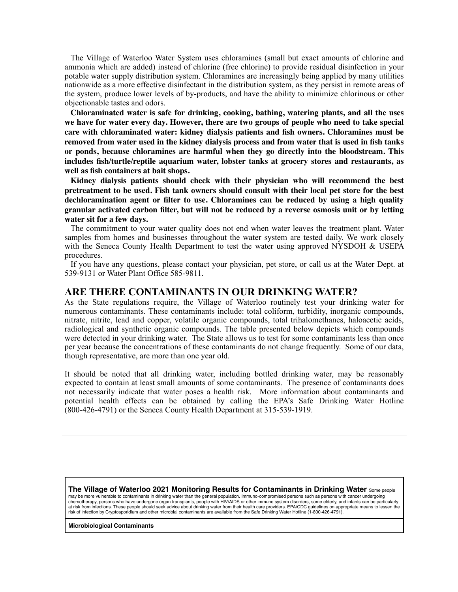The Village of Waterloo Water System uses chloramines (small but exact amounts of chlorine and ammonia which are added) instead of chlorine (free chlorine) to provide residual disinfection in your potable water supply distribution system. Chloramines are increasingly being applied by many utilities nationwide as a more effective disinfectant in the distribution system, as they persist in remote areas of the system, produce lower levels of by-products, and have the ability to minimize chlorinous or other objectionable tastes and odors.

**Chloraminated water is safe for drinking, cooking, bathing, watering plants, and all the uses we have for water every day. However, there are two groups of people who need to take special care with chloraminated water: kidney dialysis patients and fish owners. Chloramines must be removed from water used in the kidney dialysis process and from water that is used in fish tanks or ponds, because chloramines are harmful when they go directly into the bloodstream. This includes fish/turtle/reptile aquarium water, lobster tanks at grocery stores and restaurants, as well as fish containers at bait shops.** 

**Kidney dialysis patients should check with their physician who will recommend the best pretreatment to be used. Fish tank owners should consult with their local pet store for the best dechloramination agent or filter to use. Chloramines can be reduced by using a high quality granular activated carbon filter, but will not be reduced by a reverse osmosis unit or by letting water sit for a few days.** 

The commitment to your water quality does not end when water leaves the treatment plant. Water samples from homes and businesses throughout the water system are tested daily. We work closely with the Seneca County Health Department to test the water using approved NYSDOH & USEPA procedures.

If you have any questions, please contact your physician, pet store, or call us at the Water Dept. at 539-9131 or Water Plant Office 585-9811.

### **ARE THERE CONTAMINANTS IN OUR DRINKING WATER?**

As the State regulations require, the Village of Waterloo routinely test your drinking water for numerous contaminants. These contaminants include: total coliform, turbidity, inorganic compounds, nitrate, nitrite, lead and copper, volatile organic compounds, total trihalomethanes, haloacetic acids, radiological and synthetic organic compounds. The table presented below depicts which compounds were detected in your drinking water. The State allows us to test for some contaminants less than once per year because the concentrations of these contaminants do not change frequently. Some of our data, though representative, are more than one year old.

It should be noted that all drinking water, including bottled drinking water, may be reasonably expected to contain at least small amounts of some contaminants. The presence of contaminants does not necessarily indicate that water poses a health risk. More information about contaminants and potential health effects can be obtained by calling the EPA's Safe Drinking Water Hotline (800-426-4791) or the Seneca County Health Department at 315-539-1919.

**The Village of Waterloo 2021 Monitoring Results for Contaminants in Drinking Water** Some people may be more vulnerable to contaminants in drinking water than the general population. Immuno-compromised persons such as persons with cancer undergoing chemotherapy, persons who have undergone organ transplants, people with HIV/AIDS or other immune system disorders, some elderly, and infants can be particularly at risk from infections. These people should seek advice about drinking water from their health care providers. EPA/CDC guidelines on appropriate means to lessen the risk of infection by Cryptosporidium and other microbial contaminants are available from the Safe Drinking Water Hotline (1-800-426-4791).

**Microbiological Contaminants**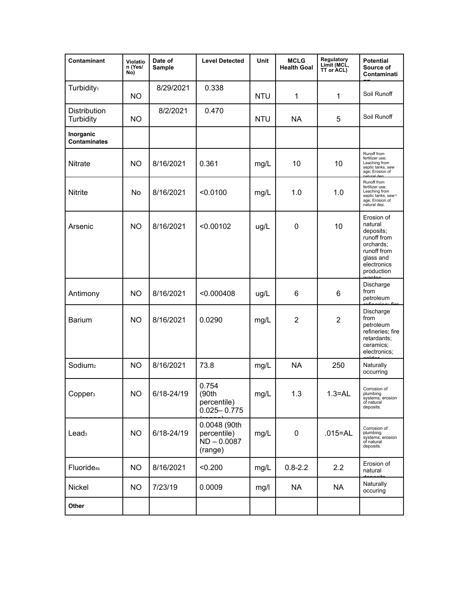| Contaminant                      | Violatio<br>n (Yes/<br>No) | Date of<br>Sample | <b>Level Detected</b>                                   | Unit       | <b>MCLG</b><br><b>Health Goal</b> | Regulatory<br>Limit (MCL,<br>TT or ACL) | <b>Potential</b><br>Source of<br>Contaminati                                                                            |
|----------------------------------|----------------------------|-------------------|---------------------------------------------------------|------------|-----------------------------------|-----------------------------------------|-------------------------------------------------------------------------------------------------------------------------|
| Turbidity <sub>1</sub>           | <b>NO</b>                  | 8/29/2021         | 0.338                                                   | <b>NTU</b> | 1                                 | 1                                       | Soil Runoff                                                                                                             |
| Distribution<br>Turbidity        | <b>NO</b>                  | 8/2/2021          | 0.470                                                   | <b>NTU</b> | <b>NA</b>                         | 5                                       | Soil Runoff                                                                                                             |
| Inorganic<br><b>Contaminates</b> |                            |                   |                                                         |            |                                   |                                         |                                                                                                                         |
| Nitrate                          | <b>NO</b>                  | 8/16/2021         | 0.361                                                   | mg/L       | 10                                | 10                                      | Runoff from<br>fertilizer use;<br>Leaching from<br>septic tanks, sew<br>age; Erosion of<br>notural                      |
| <b>Nitrite</b>                   | No                         | 8/16/2021         | < 0.0100                                                | mg/L       | 1.0                               | 1.0                                     | Runoff from<br>fertilizer use;<br>Leaching from<br>septic tanks, sew-<br>age; Erosion of<br>natural dep.                |
| Arsenic                          | <b>NO</b>                  | 8/16/2021         | < 0.00102                                               | ug/L       | $\mathbf 0$                       | 10                                      | Erosion of<br>natural<br>deposits;<br>runoff from<br>orchards:<br>runoff from<br>glass and<br>electronics<br>production |
| Antimony                         | <b>NO</b>                  | 8/16/2021         | < 0.000408                                              | ug/L       | 6                                 | 6                                       | Discharge<br>from<br>petroleum                                                                                          |
| <b>Barium</b>                    | <b>NO</b>                  | 8/16/2021         | 0.0290                                                  | mg/L       | $\overline{2}$                    | $\overline{2}$                          | Discharge<br>from<br>petroleum<br>refineries; fire<br>retardants;<br>ceramics;<br>electronics;<br>بماملة                |
| Sodium <sub>2</sub>              | <b>NO</b>                  | 8/16/2021         | 73.8                                                    | mg/L       | <b>NA</b>                         | 250                                     | Naturally<br>occurring                                                                                                  |
| Copper <sub>3</sub>              | <b>NO</b>                  | 6/18-24/19        | 0.754<br>(90th<br>percentile)<br>$0.025 - 0.775$        | mg/L       | 1.3                               | $1.3 = AL$                              | Corrosion of<br>plumbing<br>systems; erosion<br>of natural<br>deposits.                                                 |
| Lead <sub>3</sub>                | <b>NO</b>                  | 6/18-24/19        | 0.0048 (90th<br>percentile)<br>$ND - 0.0087$<br>(range) | mg/L       | 0                                 | $.015 = AL$                             | Corrosion of<br>plumbing<br>systems; erosion<br>of natural<br>deposits.                                                 |
| Fluoride <sub>4b</sub>           | <b>NO</b>                  | 8/16/2021         | < 0.200                                                 | mg/L       | $0.8 - 2.2$                       | 2.2                                     | Erosion of<br>natural                                                                                                   |
| Nickel                           | <b>NO</b>                  | 7/23/19           | 0.0009                                                  | mg/l       | <b>NA</b>                         | <b>NA</b>                               | Naturally<br>occuring                                                                                                   |
| Other                            |                            |                   |                                                         |            |                                   |                                         |                                                                                                                         |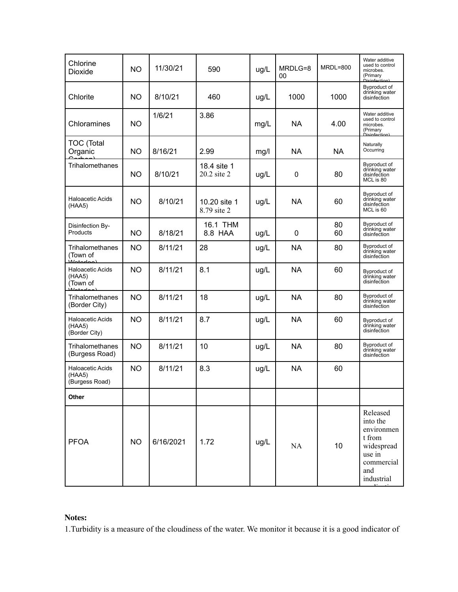| Chlorine<br>Dioxide                                    | <b>NO</b> | 11/30/21  | 590                         | ug/L | MRDLG=8<br>00 | $MRDL = 800$ | Water additive<br>used to control<br>microbes.<br>(Primary<br>Disinfection)                             |
|--------------------------------------------------------|-----------|-----------|-----------------------------|------|---------------|--------------|---------------------------------------------------------------------------------------------------------|
| Chlorite                                               | <b>NO</b> | 8/10/21   | 460                         | ug/L | 1000          | 1000         | Byproduct of<br>drinking water<br>disinfection                                                          |
| Chloramines                                            | <b>NO</b> | 1/6/21    | 3.86                        | mg/L | NA            | 4.00         | Water additive<br>used to control<br>microbes.<br>(Primary<br>.<br>Dieinfection '                       |
| <b>TOC (Total</b><br>Organic                           | <b>NO</b> | 8/16/21   | 2.99                        | mg/l | NA.           | <b>NA</b>    | Naturally<br>Occurring                                                                                  |
| Trihalomethanes                                        | NO.       | 8/10/21   | 18.4 site 1<br>20.2 site 2  | ug/L | 0             | 80           | Byproduct of<br>drinking water<br>disinfection<br>MCL is 80                                             |
| Haloacetic Acids<br>(HAA5)                             | <b>NO</b> | 8/10/21   | 10.20 site 1<br>8.79 site 2 | ug/L | NA            | 60           | Byproduct of<br>drinking water<br>disinfection<br>MCL is 60                                             |
| Disinfection By-<br>Products                           | <b>NO</b> | 8/18/21   | 16.1 THM<br>8.8 HAA         | ug/L | 0             | 80<br>60     | Byproduct of<br>drinking water<br>disinfection                                                          |
| Trihalomethanes<br>(Town of<br><i><u>Matarlaal</u></i> | <b>NO</b> | 8/11/21   | 28                          | ug/L | <b>NA</b>     | 80           | Byproduct of<br>drinking water<br>disinfection                                                          |
| Haloacetic Acids<br>(HAA5)<br>(Town of                 | <b>NO</b> | 8/11/21   | 8.1                         | ug/L | <b>NA</b>     | 60           | Byproduct of<br>drinking water<br>disinfection                                                          |
| Trihalomethanes<br>(Border City)                       | <b>NO</b> | 8/11/21   | 18                          | ug/L | <b>NA</b>     | 80           | Byproduct of<br>drinking water<br>disinfection                                                          |
| Haloacetic Acids<br>(HAA5)<br>(Border City)            | <b>NO</b> | 8/11/21   | 8.7                         | ug/L | <b>NA</b>     | 60           | Byproduct of<br>drinking water<br>disinfection                                                          |
| Trihalomethanes<br>(Burgess Road)                      | <b>NO</b> | 8/11/21   | 10                          | ug/L | <b>NA</b>     | 80           | Byproduct of<br>drinking water<br>disinfection                                                          |
| Haloacetic Acids<br>(HAA5)<br>(Burgess Road)           | <b>NO</b> | 8/11/21   | 8.3                         | ug/L | <b>NA</b>     | 60           |                                                                                                         |
| <b>Other</b>                                           |           |           |                             |      |               |              |                                                                                                         |
| <b>PFOA</b>                                            | <b>NO</b> | 6/16/2021 | 1.72                        | ug/L | NA            | 10           | Released<br>into the<br>environmen<br>t from<br>widespread<br>use in<br>commercial<br>and<br>industrial |

### **Notes:**

1.Turbidity is a measure of the cloudiness of the water. We monitor it because it is a good indicator of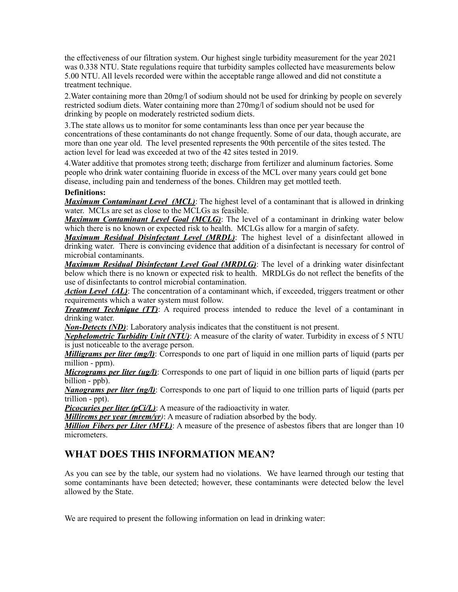the effectiveness of our filtration system. Our highest single turbidity measurement for the year 2021 was 0.338 NTU. State regulations require that turbidity samples collected have measurements below 5.00 NTU. All levels recorded were within the acceptable range allowed and did not constitute a treatment technique.

2.Water containing more than 20mg/l of sodium should not be used for drinking by people on severely restricted sodium diets. Water containing more than 270mg/l of sodium should not be used for drinking by people on moderately restricted sodium diets.

3.The state allows us to monitor for some contaminants less than once per year because the concentrations of these contaminants do not change frequently. Some of our data, though accurate, are more than one year old. The level presented represents the 90th percentile of the sites tested. The action level for lead was exceeded at two of the 42 sites tested in 2019.

4.Water additive that promotes strong teeth; discharge from fertilizer and aluminum factories. Some people who drink water containing fluoride in excess of the MCL over many years could get bone disease, including pain and tenderness of the bones. Children may get mottled teeth.

#### **Definitions:**

*Maximum Contaminant Level (MCL)*: The highest level of a contaminant that is allowed in drinking water. MCLs are set as close to the MCLGs as feasible.

*Maximum Contaminant Level Goal (MCLG)*: The level of a contaminant in drinking water below which there is no known or expected risk to health. MCLGs allow for a margin of safety.

*Maximum Residual Disinfectant Level (MRDL)*: The highest level of a disinfectant allowed in drinking water. There is convincing evidence that addition of a disinfectant is necessary for control of microbial contaminants.

*Maximum Residual Disinfectant Level Goal (MRDLG)*: The level of a drinking water disinfectant below which there is no known or expected risk to health. MRDLGs do not reflect the benefits of the use of disinfectants to control microbial contamination.

*Action Level (AL)*: The concentration of a contaminant which, if exceeded, triggers treatment or other requirements which a water system must follow.

*Treatment Technique (TT)*: A required process intended to reduce the level of a contaminant in drinking water.

*Non-Detects (ND)*: Laboratory analysis indicates that the constituent is not present.

*Nephelometric Turbidity Unit (NTU)*: A measure of the clarity of water. Turbidity in excess of 5 NTU is just noticeable to the average person.

*Milligrams per liter (mg/l)*: Corresponds to one part of liquid in one million parts of liquid (parts per million - ppm).

*Micrograms per liter (ug/l)*: Corresponds to one part of liquid in one billion parts of liquid (parts per billion - ppb).

*Nanograms per liter (ng/l)*: Corresponds to one part of liquid to one trillion parts of liquid (parts per trillion - ppt).

*Picocuries per liter (pCi/L)*: A measure of the radioactivity in water.

*Millirems per year (mrem/yr)*: A measure of radiation absorbed by the body.

*Million Fibers per Liter (MFL)*: A measure of the presence of asbestos fibers that are longer than 10 micrometers.

## **WHAT DOES THIS INFORMATION MEAN?**

As you can see by the table, our system had no violations. We have learned through our testing that some contaminants have been detected; however, these contaminants were detected below the level allowed by the State.

We are required to present the following information on lead in drinking water: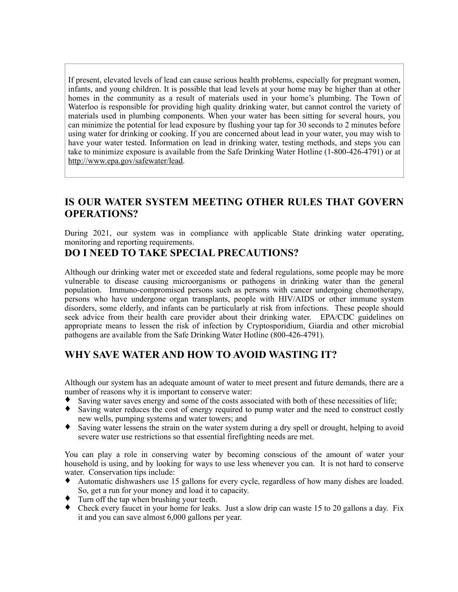If present, elevated levels of lead can cause serious health problems, especially for pregnant women, infants, and young children. It is possible that lead levels at your home may be higher than at other homes in the community as a result of materials used in your home's plumbing. The Town of Waterloo is responsible for providing high quality drinking water, but cannot control the variety of materials used in plumbing components. When your water has been sitting for several hours, you can minimize the potential for lead exposure by flushing your tap for 30 seconds to 2 minutes before using water for drinking or cooking. If you are concerned about lead in your water, you may wish to have your water tested. Information on lead in drinking water, testing methods, and steps you can take to minimize exposure is available from the Safe Drinking Water Hotline (1-800-426-4791) or at http://www.epa.gov/safewater/lead.

## **IS OUR WATER SYSTEM MEETING OTHER RULES THAT GOVERN OPERATIONS?**

During 2021, our system was in compliance with applicable State drinking water operating, monitoring and reporting requirements.

## **DO I NEED TO TAKE SPECIAL PRECAUTIONS?**

Although our drinking water met or exceeded state and federal regulations, some people may be more vulnerable to disease causing microorganisms or pathogens in drinking water than the general population. Immuno-compromised persons such as persons with cancer undergoing chemotherapy, persons who have undergone organ transplants, people with HIV/AIDS or other immune system disorders, some elderly, and infants can be particularly at risk from infections. These people should seek advice from their health care provider about their drinking water. EPA/CDC guidelines on appropriate means to lessen the risk of infection by Cryptosporidium, Giardia and other microbial pathogens are available from the Safe Drinking Water Hotline (800-426-4791).

## **WHY SAVE WATER AND HOW TO AVOID WASTING IT?**

Although our system has an adequate amount of water to meet present and future demands, there are a number of reasons why it is important to conserve water:

- ♦ Saving water saves energy and some of the costs associated with both of these necessities of life;
- ♦ Saving water reduces the cost of energy required to pump water and the need to construct costly new wells, pumping systems and water towers; and
- ♦ Saving water lessens the strain on the water system during a dry spell or drought, helping to avoid severe water use restrictions so that essential firefighting needs are met.

You can play a role in conserving water by becoming conscious of the amount of water your household is using, and by looking for ways to use less whenever you can. It is not hard to conserve water. Conservation tips include:

- Automatic dishwashers use 15 gallons for every cycle, regardless of how many dishes are loaded. So, get a run for your money and load it to capacity.
- Turn off the tap when brushing your teeth.
- ♦ Check every faucet in your home for leaks. Just a slow drip can waste 15 to 20 gallons a day. Fix it and you can save almost 6,000 gallons per year.